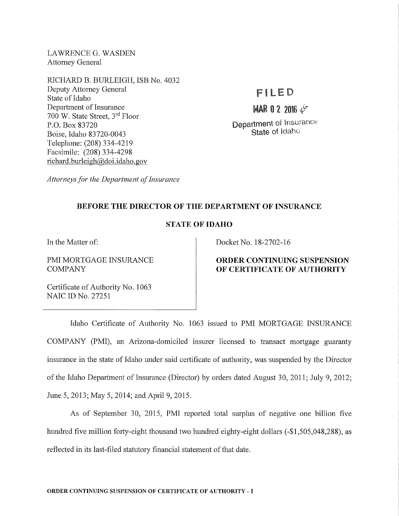LAWRENCE G. WASDEN Attorney General

RICHARD B. BURLEIGH, ISB No. 4032 Deputy Attorney General State of Idaho Department of Insurance 700 W. State Street, 3rd Floor P.O. Box 83720 Boise, Idaho 83 720-0043 Telephone: (208) 334-4219 Facsimile: (208) 334-4298 richard. burleigh@doi.idaho.gov

## Fl LED

# MARO 2 2016 *¢*

Department of Insurance State of Idaho

*Attorneys for the Department of Insurance* 

### BEFORE THE DIRECTOR OF THE DEPARTMENT OF INSURANCE

#### STATE OF IDAHO

In the Matter of:

PMI MORTGAGE INSURANCE COMPANY

Docket No. 18-2702-16

#### ORDER CONTINUING SUSPENSION OF CERTIFICATE OF AUTHORITY

Certificate of Authority No. 1063 NAIC ID No. 27251

Idaho Certificate of Authority No. 1063 issued to PMI MORTGAGE INSURANCE COMPANY (PMI), an Arizona-domiciled insurer licensed to transact mortgage guaranty insurance in the state of Idaho under said certificate of authority, was suspended by the Director of the Idaho Department of Insurance (Director) by orders dated August 30, 2011; July 9, 2012; June 5, 2013; May 5, 2014; and April 9, 2015.

As of September 30, 2015, PMI reported total surplus of negative one billion five hundred five million forty-eight thousand two hundred eighty-eight dollars (-\$1,505,048,288), as reflected in its last-filed statutory financial statement of that date.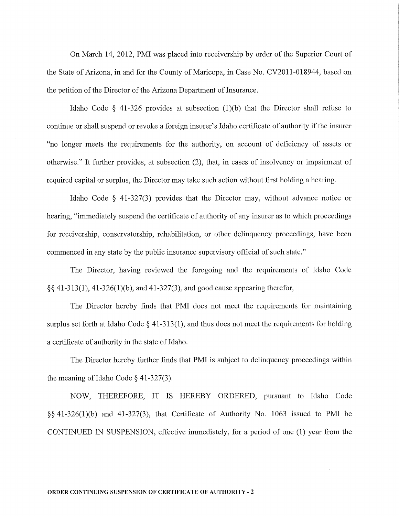On March 14, 2012, PMI was placed into receivership by order of the Superior Court of the State of Arizona, in and for the County of Maricopa, in Case No. CV2011-018944, based on the petition of the Director of the Arizona Department of Insurance.

Idaho Code  $\S$  41-326 provides at subsection (1)(b) that the Director shall refuse to continue or shall suspend or revoke a foreign insurer's Idaho certificate of authority if the insurer "no longer meets the requirements for the authority, on account of deficiency of assets or otherwise." It further provides, at subsection  $(2)$ , that, in cases of insolvency or impairment of required capital or surplus, the Director may take such action without first holding a hearing.

Idaho Code § 41-327(3) provides that the Director may, without advance notice or hearing, "immediately suspend the certificate of authority of any insurer as to which proceedings for receivership, conservatorship, rehabilitation, or other delinquency proceedings, have been commenced in any state by the public insurance supervisory official of such state."

The Director, having reviewed the foregoing and the requirements of Idaho Code §§ 41-313(1 ), 41-326(1 )(b ), and 41-327(3), and good cause appearing therefor,

The Director hereby finds that PMI does not meet the requirements for maintaining surplus set forth at Idaho Code § 41-313(1), and thus does not meet the requirements for holding a certificate of authority in the state of Idaho.

The Director hereby further finds that PMI is subject to delinquency proceedings within the meaning of Idaho Code  $\S$  41-327(3).

NOW, THEREFORE, IT IS HEREBY ORDERED, pursuant to Idaho Code §§ 41-326(1)(b) and 41-327(3), that Certificate of Authority No. 1063 issued to PMI be CONTINUED IN SUSPENSION, effective immediately, for a period of one (1) year from the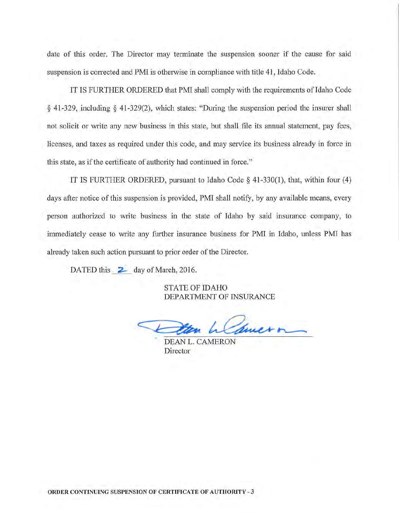date of this order. The Director may terminate the suspension sooner if the cause for said suspension is corrected and PMI is otherwise in compliance with title 41, Idaho Code.

IT IS FURTHER ORDERED that PMI shall comply with the requirements ofldaho Code § 41-329, including § 41-329(2), which states: "During the suspension period the insurer shall not solicit or write any new business in this state, but shall file its annual statement, pay fees, licenses, and taxes as required under this code, and may service its business already in force in this state, as if the certificate of authority had continued in force."

IT IS FURTHER ORDERED, pursuant to Idaho Code § 41-330(1), that, within four (4) days after notice of this suspension is provided, PMI shall notify, by any available means, every person authorized to write business in the state of Idaho by said insurance company, to immediately cease to write any further insurance business for PMI in Idaho, unless PMI has already taken such action pursuant to prior order of the Director.

DATED this  $\geq$  day of March, 2016.

STATE OF IDAHO DEPARTMENT OF INSURANCE

DEAN L. CAMERON

Director

ORDER CONTINUING SUSPENSION OF CERTIFICATE OF AUTHORITY -3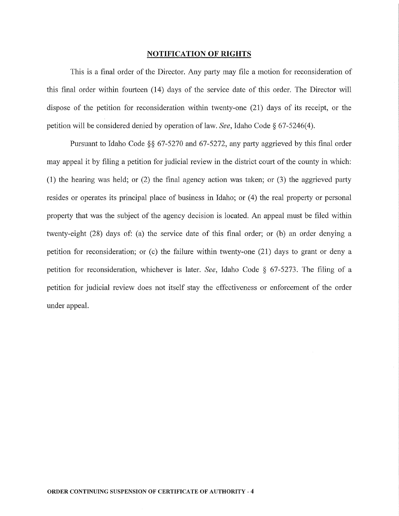#### **NOTIFICATION OF RIGHTS**

This is a final order of the Director. Any party may file a motion for reconsideration of this final order within fourteen (14) days of the service date of this order. The Director will dispose of the petition for reconsideration within twenty-one (21) days of its receipt, or the petition will be considered denied by operation of law. *See,* Idaho Code§ 67-5246(4).

Pursuant to Idaho Code  $\S$ § 67-5270 and 67-5272, any party aggrieved by this final order may appeal it by filing a petition for judicial review in the district court of the county in which: (1) the hearing was held; or  $(2)$  the final agency action was taken; or  $(3)$  the aggrieved party resides or operates its principal place of business in Idaho; or (4) the real property or personal property that was the subject of the agency decision is located. An appeal must be filed within twenty-eight (28) days of: (a) the service date of this final order; or (b) an order denying a petition for reconsideration; or  $(c)$  the failure within twenty-one  $(21)$  days to grant or deny a petition for reconsideration, whichever is later. *See,* Idaho Code § 67-5273. The filing of a petition for judicial review does not itself stay the effectiveness or enforcement of the order under appeal.